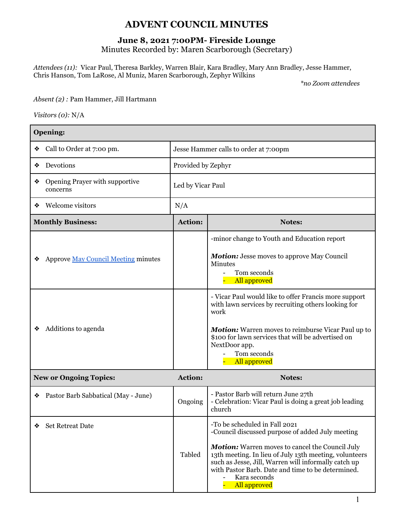## **ADVENT COUNCIL MINUTES**

## **June 8, 2021 7:00PM- Fireside Lounge**

Minutes Recorded by: Maren Scarborough (Secretary)

*Attendees (11):* Vicar Paul, Theresa Barkley, Warren Blair, Kara Bradley, Mary Ann Bradley, Jesse Hammer, Chris Hanson, Tom LaRose, Al Muniz, Maren Scarborough, Zephyr Wilkins

*\*no Zoom attendees*

*Absent (2) :* Pam Hammer, Jill Hartmann

*Visitors (0):* N/A

| Opening:                                        |                    |                                                                                                                                                                                                                                                                                                                                             |  |  |
|-------------------------------------------------|--------------------|---------------------------------------------------------------------------------------------------------------------------------------------------------------------------------------------------------------------------------------------------------------------------------------------------------------------------------------------|--|--|
| Call to Order at 7:00 pm.                       |                    | Jesse Hammer calls to order at 7:00pm                                                                                                                                                                                                                                                                                                       |  |  |
| Devotions<br>❖                                  | Provided by Zephyr |                                                                                                                                                                                                                                                                                                                                             |  |  |
| Opening Prayer with supportive<br>❖<br>concerns | Led by Vicar Paul  |                                                                                                                                                                                                                                                                                                                                             |  |  |
| Welcome visitors<br>❖                           | N/A                |                                                                                                                                                                                                                                                                                                                                             |  |  |
| <b>Monthly Business:</b>                        | Action:            | <b>Notes:</b>                                                                                                                                                                                                                                                                                                                               |  |  |
| <b>Approve May Council Meeting minutes</b>      |                    | -minor change to Youth and Education report<br>Motion: Jesse moves to approve May Council<br>Minutes<br>Tom seconds<br><b>All approved</b>                                                                                                                                                                                                  |  |  |
| Additions to agenda                             |                    | - Vicar Paul would like to offer Francis more support<br>with lawn services by recruiting others looking for<br>work<br><b>Motion:</b> Warren moves to reimburse Vicar Paul up to<br>\$100 for lawn services that will be advertised on<br>NextDoor app.<br>Tom seconds<br>All approved                                                     |  |  |
| <b>New or Ongoing Topics:</b>                   | Action:            | Notes:                                                                                                                                                                                                                                                                                                                                      |  |  |
| Pastor Barb Sabbatical (May - June)<br>❖        | Ongoing            | - Pastor Barb will return June 27th<br>- Celebration: Vicar Paul is doing a great job leading<br>church                                                                                                                                                                                                                                     |  |  |
| <b>Set Retreat Date</b><br>❖                    | Tabled             | -To be scheduled in Fall 2021<br>-Council discussed purpose of added July meeting<br>Motion: Warren moves to cancel the Council July<br>13th meeting. In lieu of July 13th meeting, volunteers<br>such as Jesse, Jill, Warren will informally catch up<br>with Pastor Barb. Date and time to be determined.<br>Kara seconds<br>All approved |  |  |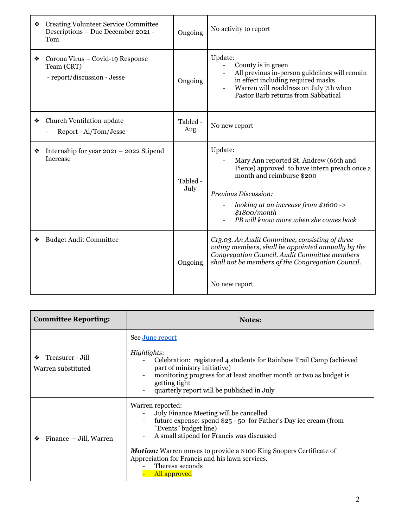|   | <b>Creating Volunteer Service Committee</b><br>Descriptions - Due December 2021 -<br>Tom | Ongoing          | No activity to report                                                                                                                                                                                                                                     |
|---|------------------------------------------------------------------------------------------|------------------|-----------------------------------------------------------------------------------------------------------------------------------------------------------------------------------------------------------------------------------------------------------|
| ❖ | Corona Virus - Covid-19 Response<br>Team (CRT)<br>- report/discussion - Jesse            | Ongoing          | Update:<br>County is in green<br>All previous in-person guidelines will remain<br>in effect including required masks<br>Warren will readdress on July 7th when<br>Pastor Barb returns from Sabbatical                                                     |
| ❖ | Church Ventilation update<br>Report - Al/Tom/Jesse                                       | Tabled -<br>Aug  | No new report                                                                                                                                                                                                                                             |
| ❖ | Internship for year 2021 - 2022 Stipend<br><b>Increase</b>                               | Tabled -<br>July | Update:<br>Mary Ann reported St. Andrew (66th and<br>Pierce) approved to have intern preach once a<br>month and reimburse \$200<br>Previous Discussion:<br>looking at an increase from \$1600 -><br>\$1800/month<br>PB will know more when she comes back |
| ❖ | <b>Budget Audit Committee</b>                                                            | Ongoing          | C13.03. An Audit Committee, consisting of three<br>voting members, shall be appointed annually by the<br>Congregation Council. Audit Committee members<br>shall not be members of the Congregation Council.<br>No new report                              |

| <b>Committee Reporting:</b>                 | <b>Notes:</b>                                                                                                                                                                                                                                                                                                                                                            |
|---------------------------------------------|--------------------------------------------------------------------------------------------------------------------------------------------------------------------------------------------------------------------------------------------------------------------------------------------------------------------------------------------------------------------------|
| Treasurer - Jill<br>❖<br>Warren substituted | See June report<br>Highlights:<br>Celebration: registered 4 students for Rainbow Trail Camp (achieved<br>part of ministry initiative)<br>monitoring progress for at least another month or two as budget is<br>getting tight<br>quarterly report will be published in July                                                                                               |
| Finance - Jill, Warren<br>❖                 | Warren reported:<br>July Finance Meeting will be cancelled<br>future expense: spend \$25 - 50 for Father's Day ice cream (from<br>"Events" budget line)<br>A small stipend for Francis was discussed<br><b>Motion:</b> Warren moves to provide a \$100 King Soopers Certificate of<br>Appreciation for Francis and his lawn services.<br>Theresa seconds<br>All approved |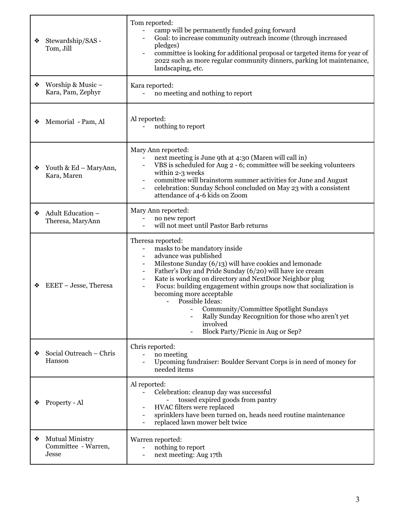| Stewardship/SAS -<br>Tom, Jill                              | Tom reported:<br>camp will be permanently funded going forward<br>Goal: to increase community outreach income (through increased<br>pledges)<br>committee is looking for additional proposal or targeted items for year of<br>2022 such as more regular community dinners, parking lot maintenance,<br>landscaping, etc.                                                                                                                                                                                                                                                              |
|-------------------------------------------------------------|---------------------------------------------------------------------------------------------------------------------------------------------------------------------------------------------------------------------------------------------------------------------------------------------------------------------------------------------------------------------------------------------------------------------------------------------------------------------------------------------------------------------------------------------------------------------------------------|
| Worship & Music -<br>Kara, Pam, Zephyr                      | Kara reported:<br>no meeting and nothing to report<br>$\blacksquare$                                                                                                                                                                                                                                                                                                                                                                                                                                                                                                                  |
| Memorial - Pam, Al                                          | Al reported:<br>nothing to report                                                                                                                                                                                                                                                                                                                                                                                                                                                                                                                                                     |
| Youth & Ed - MaryAnn,<br>❖<br>Kara, Maren                   | Mary Ann reported:<br>next meeting is June 9th at 4:30 (Maren will call in)<br>$\blacksquare$<br>VBS is scheduled for Aug 2 - 6; committee will be seeking volunteers<br>within 2-3 weeks<br>committee will brainstorm summer activities for June and August<br>celebration: Sunday School concluded on May 23 with a consistent<br>attendance of 4-6 kids on Zoom                                                                                                                                                                                                                    |
| Adult Education -<br>❖<br>Theresa, MaryAnn                  | Mary Ann reported:<br>no new report<br>will not meet until Pastor Barb returns                                                                                                                                                                                                                                                                                                                                                                                                                                                                                                        |
| EEET - Jesse, Theresa                                       | Theresa reported:<br>masks to be mandatory inside<br>advance was published<br>Milestone Sunday (6/13) will have cookies and lemonade<br>Father's Day and Pride Sunday (6/20) will have ice cream<br>$\blacksquare$<br>Kate is working on directory and NextDoor Neighbor plug<br>Focus: building engagement within groups now that socialization is<br>$\blacksquare$<br>becoming more acceptable<br>Possible Ideas:<br>$\blacksquare$<br>Community/Committee Spotlight Sundays<br>Rally Sunday Recognition for those who aren't yet<br>involved<br>Block Party/Picnic in Aug or Sep? |
| Social Outreach - Chris<br>Hanson                           | Chris reported:<br>no meeting<br>Upcoming fundraiser: Boulder Servant Corps is in need of money for<br>needed items                                                                                                                                                                                                                                                                                                                                                                                                                                                                   |
| Property - Al                                               | Al reported:<br>Celebration: cleanup day was successful<br>tossed expired goods from pantry<br>HVAC filters were replaced<br>sprinklers have been turned on, heads need routine maintenance<br>$\overline{\phantom{a}}$<br>replaced lawn mower belt twice                                                                                                                                                                                                                                                                                                                             |
| <b>Mutual Ministry</b><br>❖<br>Committee - Warren,<br>Jesse | Warren reported:<br>nothing to report<br>next meeting: Aug 17th                                                                                                                                                                                                                                                                                                                                                                                                                                                                                                                       |